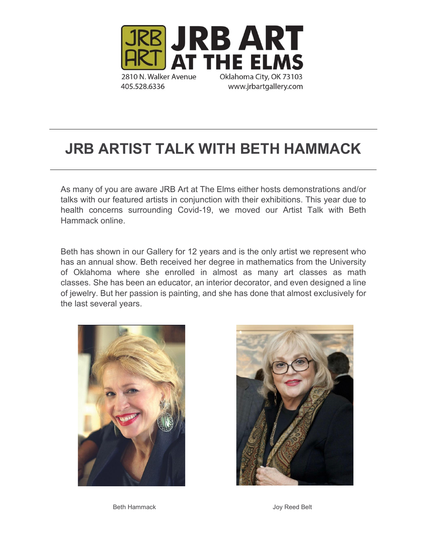

# **JRB ARTIST TALK WITH BETH HAMMACK**

As many of you are aware JRB Art at The Elms either hosts demonstrations and/or talks with our featured artists in conjunction with their exhibitions. This year due to health concerns surrounding Covid-19, we moved our Artist Talk with Beth Hammack online.

Beth has shown in our Gallery for 12 years and is the only artist we represent who has an annual show. Beth received her degree in mathematics from the University of Oklahoma where she enrolled in almost as many art classes as math classes. She has been an educator, an interior decorator, and even designed a line of jewelry. But her passion is painting, and she has done that almost exclusively for the last several years.





Beth Hammack **Details** Joy Reed Belt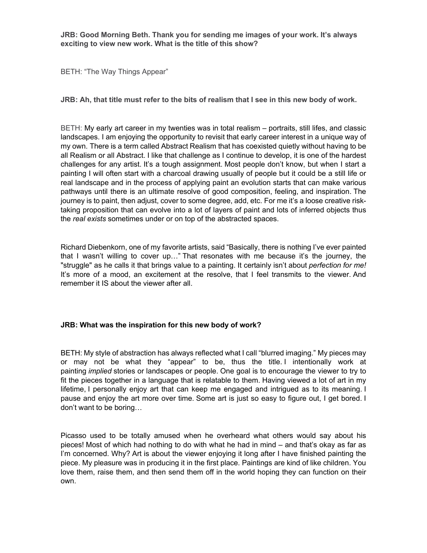**JRB: Good Morning Beth. Thank you for sending me images of your work. It's always exciting to view new work. What is the title of this show?**

BETH: "The Way Things Appear"

**JRB: Ah, that title must refer to the bits of realism that I see in this new body of work.**

BETH: My early art career in my twenties was in total realism – portraits, still lifes, and classic landscapes. I am enjoying the opportunity to revisit that early career interest in a unique way of my own. There is a term called Abstract Realism that has coexisted quietly without having to be all Realism or all Abstract. I like that challenge as I continue to develop, it is one of the hardest challenges for any artist. It's a tough assignment. Most people don't know, but when I start a painting I will often start with a charcoal drawing usually of people but it could be a still life or real landscape and in the process of applying paint an evolution starts that can make various pathways until there is an ultimate resolve of good composition, feeling, and inspiration. The journey is to paint, then adjust, cover to some degree, add, etc. For me it's a loose creative risktaking proposition that can evolve into a lot of layers of paint and lots of inferred objects thus the *real exists* sometimes under or on top of the abstracted spaces.

Richard Diebenkorn, one of my favorite artists, said "Basically, there is nothing I've ever painted that I wasn't willing to cover up…" That resonates with me because it's the journey, the "struggle" as he calls it that brings value to a painting. It certainly isn't about *perfection for me!*  It's more of a mood, an excitement at the resolve, that I feel transmits to the viewer. And remember it IS about the viewer after all.

## **JRB: What was the inspiration for this new body of work?**

BETH: My style of abstraction has always reflected what I call "blurred imaging." My pieces may or may not be what they "appear" to be, thus the title. I intentionally work at painting *implied* stories or landscapes or people. One goal is to encourage the viewer to try to fit the pieces together in a language that is relatable to them. Having viewed a lot of art in my lifetime, I personally enjoy art that can keep me engaged and intrigued as to its meaning. I pause and enjoy the art more over time. Some art is just so easy to figure out, I get bored. I don't want to be boring…

Picasso used to be totally amused when he overheard what others would say about his pieces! Most of which had nothing to do with what he had in mind – and that's okay as far as I'm concerned. Why? Art is about the viewer enjoying it long after I have finished painting the piece. My pleasure was in producing it in the first place. Paintings are kind of like children. You love them, raise them, and then send them off in the world hoping they can function on their own.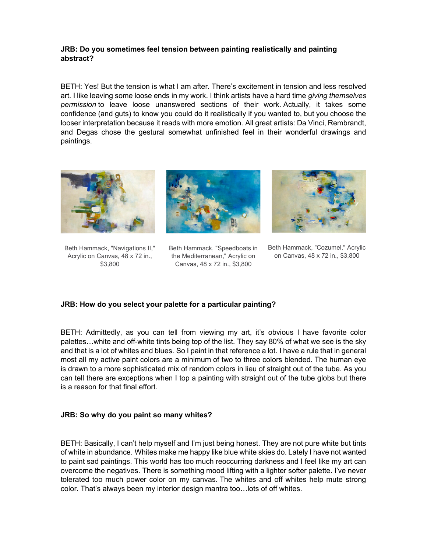## **JRB: Do you sometimes feel tension between painting realistically and painting abstract?**

BETH: Yes! But the tension is what I am after. There's excitement in tension and less resolved art. I like leaving some loose ends in my work. I think artists have a hard time *giving themselves permission* to leave loose unanswered sections of their work. Actually, it takes some confidence (and guts) to know you could do it realistically if you wanted to, but you choose the looser interpretation because it reads with more emotion. All great artists: Da Vinci, Rembrandt, and Degas chose the gestural somewhat unfinished feel in their wonderful drawings and paintings.



Beth Hammack, "Navigations II," Acrylic on Canvas, 48 x 72 in., \$3,800



Beth Hammack, "Speedboats in the Mediterranean," Acrylic on Canvas, 48 x 72 in., \$3,800



Beth Hammack, "Cozumel," Acrylic on Canvas, 48 x 72 in., \$3,800

## **JRB: How do you select your palette for a particular painting?**

BETH: Admittedly, as you can tell from viewing my art, it's obvious I have favorite color palettes…white and off-white tints being top of the list. They say 80% of what we see is the sky and that is a lot of whites and blues. So I paint in that reference a lot. I have a rule that in general most all my active paint colors are a minimum of two to three colors blended. The human eye is drawn to a more sophisticated mix of random colors in lieu of straight out of the tube. As you can tell there are exceptions when I top a painting with straight out of the tube globs but there is a reason for that final effort.

## **JRB: So why do you paint so many whites?**

BETH: Basically, I can't help myself and I'm just being honest. They are not pure white but tints of white in abundance. Whites make me happy like blue white skies do. Lately I have not wanted to paint sad paintings. This world has too much reoccurring darkness and I feel like my art can overcome the negatives. There is something mood lifting with a lighter softer palette. I've never tolerated too much power color on my canvas. The whites and off whites help mute strong color. That's always been my interior design mantra too…lots of off whites.